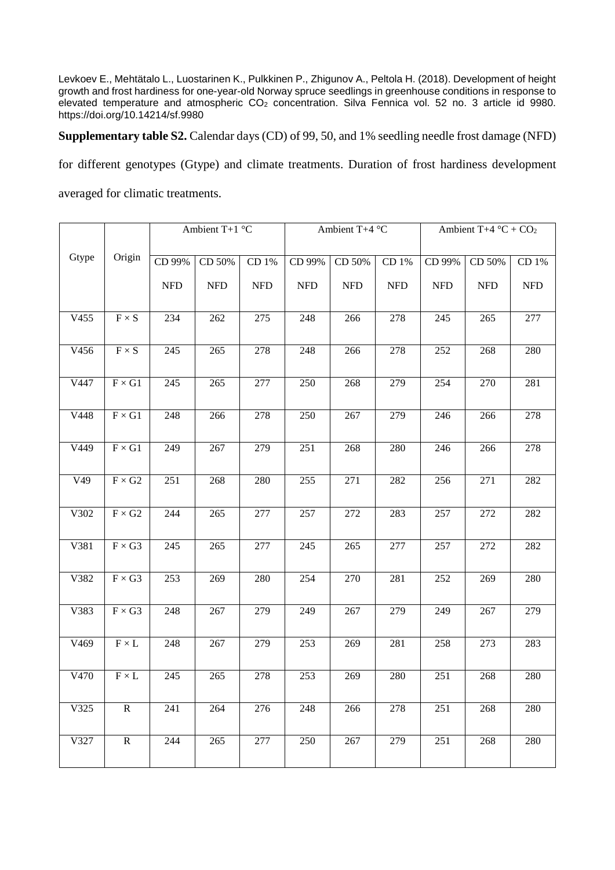Levkoev E., Mehtätalo L., Luostarinen K., Pulkkinen P., Zhigunov A., Peltola H. (2018). Development of height growth and frost hardiness for one-year-old Norway spruce seedlings in greenhouse conditions in response to elevated temperature and atmospheric CO<sub>2</sub> concentration. Silva Fennica vol. 52 no. 3 article id 9980. https://doi.org/10.14214/sf.9980

**Supplementary table S2.** Calendar days (CD) of 99, 50, and 1% seedling needle frost damage (NFD)

for different genotypes (Gtype) and climate treatments. Duration of frost hardiness development

averaged for climatic treatments.

|       |                              | Ambient T+1 $^{\circ}$ C |                  |            | Ambient T+4 °C |            |            | Ambient T+4 $\mathrm{^{\circ}C}$ + CO <sub>2</sub> |            |            |
|-------|------------------------------|--------------------------|------------------|------------|----------------|------------|------------|----------------------------------------------------|------------|------------|
|       |                              |                          |                  |            |                |            |            |                                                    |            |            |
| Gtype | Origin                       | CD 99%                   | CD 50%           | CD 1%      | CD 99%         | CD 50%     | CD 1%      | CD 99%                                             | CD 50%     | CD 1%      |
|       |                              | <b>NFD</b>               | <b>NFD</b>       | <b>NFD</b> | <b>NFD</b>     | <b>NFD</b> | <b>NFD</b> | <b>NFD</b>                                         | <b>NFD</b> | <b>NFD</b> |
|       |                              |                          |                  |            |                |            |            |                                                    |            |            |
| V455  | $F\times S$                  | 234                      | 262              | 275        | 248            | 266        | 278        | 245                                                | 265        | 277        |
|       |                              |                          |                  |            |                |            |            |                                                    |            |            |
| V456  | $\textbf{F}\times\textbf{S}$ | 245                      | 265              | 278        | 248            | 266        | 278        | 252                                                | 268        | 280        |
|       |                              |                          |                  |            |                |            |            |                                                    |            |            |
| V447  | $F\times G1$                 | 245                      | 265              | 277        | 250            | 268        | 279        | 254                                                | 270        | 281        |
|       |                              |                          |                  |            |                |            |            |                                                    |            |            |
| V448  | $F\times G1$                 | 248                      | 266              | 278        | 250            | 267        | 279        | 246                                                | 266        | 278        |
|       |                              |                          |                  |            |                |            |            |                                                    |            |            |
| V449  | $F\times G1$                 | 249                      | 267              | 279        | 251            | 268        | 280        | 246                                                | 266        | 278        |
| V49   | $F\times G2$                 | 251                      | 268              | 280        | 255            | 271        | 282        | 256                                                | 271        | 282        |
|       |                              |                          |                  |            |                |            |            |                                                    |            |            |
| V302  | $F\times G2$                 | 244                      | $\overline{2}65$ | 277        | 257            | 272        | 283        | 257                                                | 272        | 282        |
|       |                              |                          |                  |            |                |            |            |                                                    |            |            |
| V381  | $F\times G3$                 | 245                      | 265              | 277        | 245            | 265        | 277        | 257                                                | 272        | 282        |
|       |                              |                          |                  |            |                |            |            |                                                    |            |            |
| V382  | $F\times G3$                 | 253                      | 269              | 280        | 254            | 270        | 281        | 252                                                | 269        | 280        |
|       |                              |                          |                  |            |                |            |            |                                                    |            |            |
| V383  | $F\times G3$                 | 248                      | 267              | 279        | 249            | 267        | 279        | 249                                                | 267        | 279        |
|       |                              |                          |                  |            |                |            |            |                                                    |            |            |
| V469  | $\textbf{F}\times\textbf{L}$ | 248                      | 267              | 279        | 253            | 269        | 281        | 258                                                | 273        | 283        |
|       |                              |                          |                  |            |                |            |            |                                                    |            |            |
| V470  | $\textbf{F}\times\textbf{L}$ | 245                      | 265              | 278        | 253            | 269        | 280        | 251                                                | 268        | 280        |
|       |                              |                          |                  |            |                |            |            |                                                    |            |            |
| V325  | ${\bf R}$                    | 241                      | 264              | 276        | 248            | 266        | 278        | 251                                                | 268        | 280        |
|       |                              |                          |                  |            |                |            |            |                                                    |            |            |
| V327  | $\mathbf R$                  | 244                      | 265              | 277        | 250            | 267        | 279        | 251                                                | 268        | 280        |
|       |                              |                          |                  |            |                |            |            |                                                    |            |            |